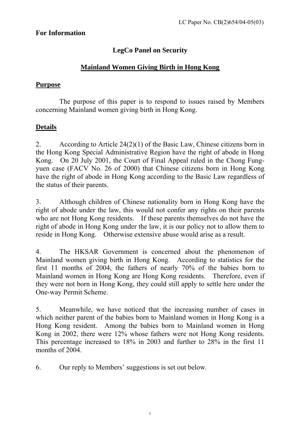### **For Information**

# **LegCo Panel on Security**

# **Mainland Women Giving Birth in Hong Kong**

### **Purpose**

The purpose of this paper is to respond to issues raised by Members concerning Mainland women giving birth in Hong Kong.

## **Details**

2. According to Article 24(2)(1) of the Basic Law, Chinese citizens born in the Hong Kong Special Administrative Region have the right of abode in Hong Kong. On 20 July 2001, the Court of Final Appeal ruled in the Chong Fungyuen case (FACV No. 26 of 2000) that Chinese citizens born in Hong Kong have the right of abode in Hong Kong according to the Basic Law regardless of the status of their parents.

3. Although children of Chinese nationality born in Hong Kong have the right of abode under the law, this would not confer any rights on their parents who are not Hong Kong residents. If these parents themselves do not have the right of abode in Hong Kong under the law, it is our policy not to allow them to reside in Hong Kong. Otherwise extensive abuse would arise as a result.

4. The HKSAR Government is concerned about the phenomenon of Mainland women giving birth in Hong Kong. According to statistics for the first 11 months of 2004, the fathers of nearly 70% of the babies born to Mainland women in Hong Kong are Hong Kong residents. Therefore, even if they were not born in Hong Kong, they could still apply to settle here under the One-way Permit Scheme.

5. Meanwhile, we have noticed that the increasing number of cases in which neither parent of the babies born to Mainland women in Hong Kong is a Hong Kong resident. Among the babies born to Mainland women in Hong Kong in 2002, there were 12% whose fathers were not Hong Kong residents. This percentage increased to 18% in 2003 and further to 28% in the first 11 months of 2004.

6. Our reply to Members' suggestions is set out below.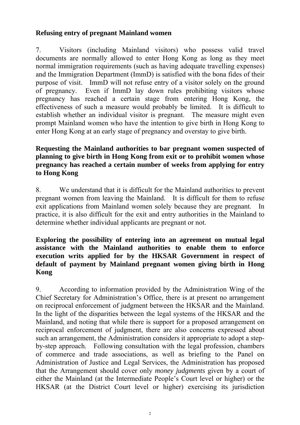### **Refusing entry of pregnant Mainland women**

7. Visitors (including Mainland visitors) who possess valid travel documents are normally allowed to enter Hong Kong as long as they meet normal immigration requirements (such as having adequate travelling expenses) and the Immigration Department (ImmD) is satisfied with the bona fides of their purpose of visit. ImmD will not refuse entry of a visitor solely on the ground of pregnancy. Even if ImmD lay down rules prohibiting visitors whose pregnancy has reached a certain stage from entering Hong Kong, the effectiveness of such a measure would probably be limited. It is difficult to establish whether an individual visitor is pregnant. The measure might even prompt Mainland women who have the intention to give birth in Hong Kong to enter Hong Kong at an early stage of pregnancy and overstay to give birth.

### **Requesting the Mainland authorities to bar pregnant women suspected of planning to give birth in Hong Kong from exit or to prohibit women whose pregnancy has reached a certain number of weeks from applying for entry to Hong Kong**

8. We understand that it is difficult for the Mainland authorities to prevent pregnant women from leaving the Mainland. It is difficult for them to refuse exit applications from Mainland women solely because they are pregnant. In practice, it is also difficult for the exit and entry authorities in the Mainland to determine whether individual applicants are pregnant or not.

#### **Exploring the possibility of entering into an agreement on mutual legal assistance with the Mainland authorities to enable them to enforce execution writs applied for by the HKSAR Government in respect of default of payment by Mainland pregnant women giving birth in Hong Kong**

9. According to information provided by the Administration Wing of the Chief Secretary for Administration's Office, there is at present no arrangement on reciprocal enforcement of judgment between the HKSAR and the Mainland. In the light of the disparities between the legal systems of the HKSAR and the Mainland, and noting that while there is support for a proposed arrangement on reciprocal enforcement of judgment, there are also concerns expressed about such an arrangement, the Administration considers it appropriate to adopt a stepby-step approach. Following consultation with the legal profession, chambers of commerce and trade associations, as well as briefing to the Panel on Administration of Justice and Legal Services, the Administration has proposed that the Arrangement should cover only *money judgments* given by a court of either the Mainland (at the Intermediate People's Court level or higher) or the HKSAR (at the District Court level or higher) exercising its jurisdiction